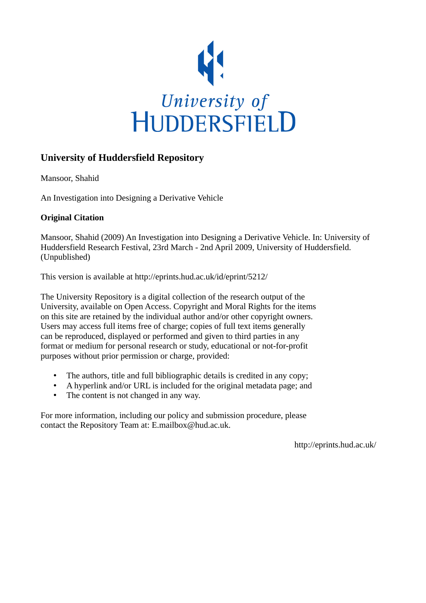

#### **University of Huddersfield Repository**

Mansoor, Shahid

An Investigation into Designing a Derivative Vehicle

#### **Original Citation**

Mansoor, Shahid (2009) An Investigation into Designing a Derivative Vehicle. In: University of Huddersfield Research Festival, 23rd March - 2nd April 2009, University of Huddersfield. (Unpublished)

This version is available at http://eprints.hud.ac.uk/id/eprint/5212/

The University Repository is a digital collection of the research output of the University, available on Open Access. Copyright and Moral Rights for the items on this site are retained by the individual author and/or other copyright owners. Users may access full items free of charge; copies of full text items generally can be reproduced, displayed or performed and given to third parties in any format or medium for personal research or study, educational or not-for-profit purposes without prior permission or charge, provided:

- The authors, title and full bibliographic details is credited in any copy;
- A hyperlink and/or URL is included for the original metadata page; and
- The content is not changed in any way.

For more information, including our policy and submission procedure, please contact the Repository Team at: E.mailbox@hud.ac.uk.

http://eprints.hud.ac.uk/